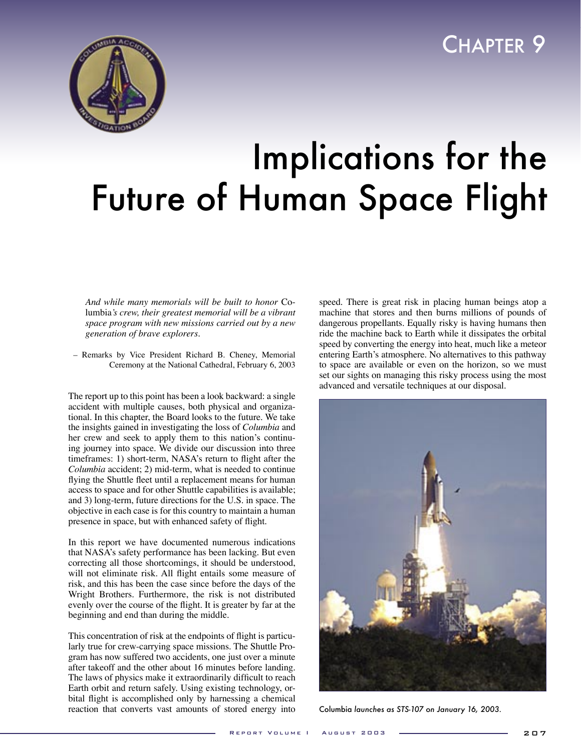



# Implications for the Future of Human Space Flight

*And while many memorials will be built to honor* Columbia*'s crew, their greatest memorial will be a vibrant space program with new missions carried out by a new generation of brave explorers.*

– Remarks by Vice President Richard B. Cheney, Memorial Ceremony at the National Cathedral, February 6, 2003

The report up to this point has been a look backward: a single accident with multiple causes, both physical and organizational. In this chapter, the Board looks to the future. We take the insights gained in investigating the loss of *Columbia* and her crew and seek to apply them to this nation's continuing journey into space. We divide our discussion into three timeframes: 1) short-term, NASA's return to flight after the *Columbia* accident; 2) mid-term, what is needed to continue flying the Shuttle fleet until a replacement means for human access to space and for other Shuttle capabilities is available; and 3) long-term, future directions for the U.S. in space. The objective in each case is for this country to maintain a human presence in space, but with enhanced safety of flight.

In this report we have documented numerous indications that NASA's safety performance has been lacking. But even correcting all those shortcomings, it should be understood, will not eliminate risk. All flight entails some measure of risk, and this has been the case since before the days of the Wright Brothers. Furthermore, the risk is not distributed evenly over the course of the flight. It is greater by far at the beginning and end than during the middle.

This concentration of risk at the endpoints of flight is particularly true for crew-carrying space missions. The Shuttle Program has now suffered two accidents, one just over a minute after takeoff and the other about 16 minutes before landing. The laws of physics make it extraordinarily difficult to reach Earth orbit and return safely. Using existing technology, orbital flight is accomplished only by harnessing a chemical reaction that converts vast amounts of stored energy into speed. There is great risk in placing human beings atop a machine that stores and then burns millions of pounds of dangerous propellants. Equally risky is having humans then ride the machine back to Earth while it dissipates the orbital speed by converting the energy into heat, much like a meteor entering Earth's atmosphere. No alternatives to this pathway to space are available or even on the horizon, so we must set our sights on managing this risky process using the most advanced and versatile techniques at our disposal.



Columbia *launches as STS-107 on January 16, 2003.*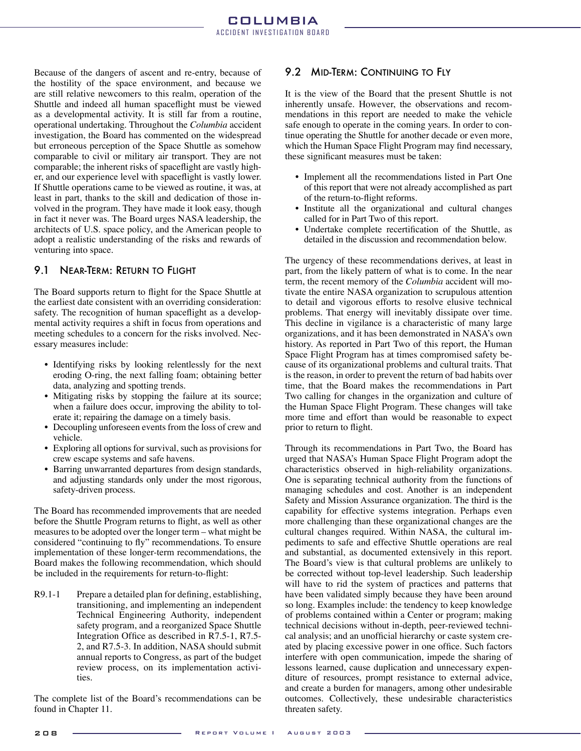Because of the dangers of ascent and re-entry, because of the hostility of the space environment, and because we are still relative newcomers to this realm, operation of the Shuttle and indeed all human spaceflight must be viewed as a developmental activity. It is still far from a routine, operational undertaking. Throughout the *Columbia* accident investigation, the Board has commented on the widespread but erroneous perception of the Space Shuttle as somehow comparable to civil or military air transport. They are not comparable; the inherent risks of spaceflight are vastly higher, and our experience level with spaceflight is vastly lower. If Shuttle operations came to be viewed as routine, it was, at least in part, thanks to the skill and dedication of those involved in the program. They have made it look easy, though in fact it never was. The Board urges NASA leadership, the architects of U.S. space policy, and the American people to adopt a realistic understanding of the risks and rewards of venturing into space.

# 9.1 NEAR-TERM: RETURN TO FLIGHT

The Board supports return to flight for the Space Shuttle at the earliest date consistent with an overriding consideration: safety. The recognition of human spaceflight as a developmental activity requires a shift in focus from operations and meeting schedules to a concern for the risks involved. Necessary measures include:

- Identifying risks by looking relentlessly for the next eroding O-ring, the next falling foam; obtaining better data, analyzing and spotting trends.
- Mitigating risks by stopping the failure at its source; when a failure does occur, improving the ability to tolerate it; repairing the damage on a timely basis.
- Decoupling unforeseen events from the loss of crew and vehicle.
- Exploring all options for survival, such as provisions for crew escape systems and safe havens.
- Barring unwarranted departures from design standards, and adjusting standards only under the most rigorous, safety-driven process.

The Board has recommended improvements that are needed before the Shuttle Program returns to flight, as well as other measures to be adopted over the longer term – what might be considered "continuing to fly" recommendations. To ensure implementation of these longer-term recommendations, the Board makes the following recommendation, which should be included in the requirements for return-to-flight:

R9.1-1 Prepare a detailed plan for defining, establishing, transitioning, and implementing an independent Technical Engineering Authority, independent safety program, and a reorganized Space Shuttle Integration Office as described in R7.5-1, R7.5- 2, and R7.5-3. In addition, NASA should submit annual reports to Congress, as part of the budget review process, on its implementation activities.

The complete list of the Board's recommendations can be found in Chapter 11.

# 9.2 MID-TERM: CONTINUING TO FLY

It is the view of the Board that the present Shuttle is not inherently unsafe. However, the observations and recommendations in this report are needed to make the vehicle safe enough to operate in the coming years. In order to continue operating the Shuttle for another decade or even more, which the Human Space Flight Program may find necessary, these significant measures must be taken:

- Implement all the recommendations listed in Part One of this report that were not already accomplished as part of the return-to-flight reforms.
- Institute all the organizational and cultural changes called for in Part Two of this report.
- Undertake complete recertification of the Shuttle, as detailed in the discussion and recommendation below.

The urgency of these recommendations derives, at least in part, from the likely pattern of what is to come. In the near term, the recent memory of the *Columbia* accident will motivate the entire NASA organization to scrupulous attention to detail and vigorous efforts to resolve elusive technical problems. That energy will inevitably dissipate over time. This decline in vigilance is a characteristic of many large organizations, and it has been demonstrated in NASA's own history. As reported in Part Two of this report, the Human Space Flight Program has at times compromised safety because of its organizational problems and cultural traits. That is the reason, in order to prevent the return of bad habits over time, that the Board makes the recommendations in Part Two calling for changes in the organization and culture of the Human Space Flight Program. These changes will take more time and effort than would be reasonable to expect prior to return to flight.

Through its recommendations in Part Two, the Board has urged that NASA's Human Space Flight Program adopt the characteristics observed in high-reliability organizations. One is separating technical authority from the functions of managing schedules and cost. Another is an independent Safety and Mission Assurance organization. The third is the capability for effective systems integration. Perhaps even more challenging than these organizational changes are the cultural changes required. Within NASA, the cultural impediments to safe and effective Shuttle operations are real and substantial, as documented extensively in this report. The Board's view is that cultural problems are unlikely to be corrected without top-level leadership. Such leadership will have to rid the system of practices and patterns that have been validated simply because they have been around so long. Examples include: the tendency to keep knowledge of problems contained within a Center or program; making technical decisions without in-depth, peer-reviewed technical analysis; and an unofficial hierarchy or caste system created by placing excessive power in one office. Such factors interfere with open communication, impede the sharing of lessons learned, cause duplication and unnecessary expenditure of resources, prompt resistance to external advice, and create a burden for managers, among other undesirable outcomes. Collectively, these undesirable characteristics threaten safety.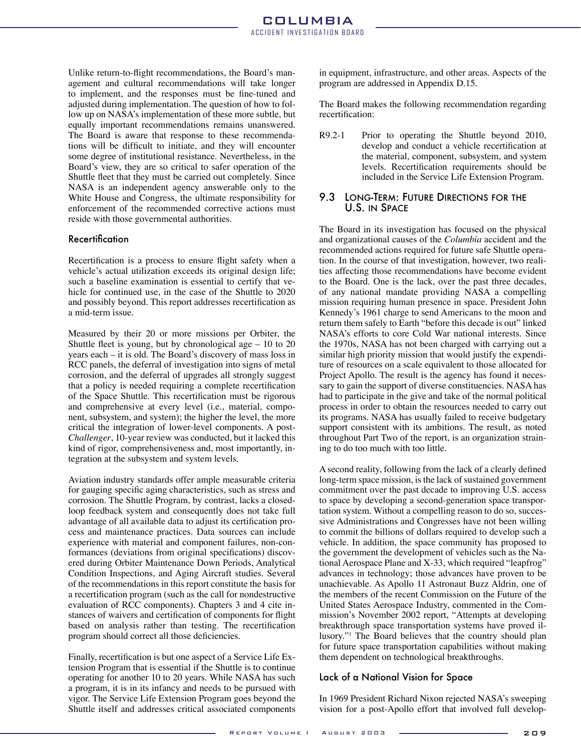Unlike return-to-flight recommendations, the Board's management and cultural recommendations will take longer to implement, and the responses must be fine-tuned and adjusted during implementation. The question of how to follow up on NASA's implementation of these more subtle, but equally important recommendations remains unanswered. The Board is aware that response to these recommendations will be difficult to initiate, and they will encounter some degree of institutional resistance. Nevertheless, in the Board's view, they are so critical to safer operation of the Shuttle fleet that they must be carried out completely. Since NASA is an independent agency answerable only to the White House and Congress, the ultimate responsibility for enforcement of the recommended corrective actions must reside with those governmental authorities.

#### **Recertification**

Recertification is a process to ensure flight safety when a vehicle's actual utilization exceeds its original design life; such a baseline examination is essential to certify that vehicle for continued use, in the case of the Shuttle to 2020 and possibly beyond. This report addresses recertification as a mid-term issue.

Measured by their 20 or more missions per Orbiter, the Shuttle fleet is young, but by chronological age – 10 to 20 years each – it is old. The Board's discovery of mass loss in RCC panels, the deferral of investigation into signs of metal corrosion, and the deferral of upgrades all strongly suggest that a policy is needed requiring a complete recertification of the Space Shuttle. This recertification must be rigorous and comprehensive at every level (i.e., material, component, subsystem, and system); the higher the level, the more critical the integration of lower-level components. A post-*Challenger*, 10-year review was conducted, but it lacked this kind of rigor, comprehensiveness and, most importantly, integration at the subsystem and system levels.

Aviation industry standards offer ample measurable criteria for gauging specific aging characteristics, such as stress and corrosion. The Shuttle Program, by contrast, lacks a closedloop feedback system and consequently does not take full advantage of all available data to adjust its certification process and maintenance practices. Data sources can include experience with material and component failures, non-conformances (deviations from original specifications) discovered during Orbiter Maintenance Down Periods, Analytical Condition Inspections, and Aging Aircraft studies. Several of the recommendations in this report constitute the basis for a recertification program (such as the call for nondestructive evaluation of RCC components). Chapters 3 and 4 cite instances of waivers and certification of components for flight based on analysis rather than testing. The recertification program should correct all those deficiencies.

Finally, recertification is but one aspect of a Service Life Extension Program that is essential if the Shuttle is to continue operating for another 10 to 20 years. While NASA has such a program, it is in its infancy and needs to be pursued with vigor. The Service Life Extension Program goes beyond the Shuttle itself and addresses critical associated components

in equipment, infrastructure, and other areas. Aspects of the program are addressed in Appendix D.15.

The Board makes the following recommendation regarding recertification:

R9.2-1 Prior to operating the Shuttle beyond 2010, develop and conduct a vehicle recertification at the material, component, subsystem, and system levels. Recertification requirements should be included in the Service Life Extension Program.

#### 9.3 LONG-TERM: FUTURE DIRECTIONS FOR THE U.S. IN SPACE

The Board in its investigation has focused on the physical and organizational causes of the *Columbia* accident and the recommended actions required for future safe Shuttle operation. In the course of that investigation, however, two realities affecting those recommendations have become evident to the Board. One is the lack, over the past three decades, of any national mandate providing NASA a compelling mission requiring human presence in space. President John Kennedy's 1961 charge to send Americans to the moon and return them safely to Earth "before this decade is out" linked NASA's efforts to core Cold War national interests. Since the 1970s, NASA has not been charged with carrying out a similar high priority mission that would justify the expenditure of resources on a scale equivalent to those allocated for Project Apollo. The result is the agency has found it necessary to gain the support of diverse constituencies. NASA has had to participate in the give and take of the normal political process in order to obtain the resources needed to carry out its programs. NASA has usually failed to receive budgetary support consistent with its ambitions. The result, as noted throughout Part Two of the report, is an organization straining to do too much with too little.

A second reality, following from the lack of a clearly defined long-term space mission, is the lack of sustained government commitment over the past decade to improving U.S. access to space by developing a second-generation space transportation system. Without a compelling reason to do so, successive Administrations and Congresses have not been willing to commit the billions of dollars required to develop such a vehicle. In addition, the space community has proposed to the government the development of vehicles such as the National Aerospace Plane and X-33, which required "leapfrog" advances in technology; those advances have proven to be unachievable. As Apollo 11 Astronaut Buzz Aldrin, one of the members of the recent Commission on the Future of the United States Aerospace Industry, commented in the Commission's November 2002 report, "Attempts at developing breakthrough space transportation systems have proved illusory."1 The Board believes that the country should plan for future space transportation capabilities without making them dependent on technological breakthroughs.

## Lack of a National Vision for Space

In 1969 President Richard Nixon rejected NASA's sweeping vision for a post-Apollo effort that involved full develop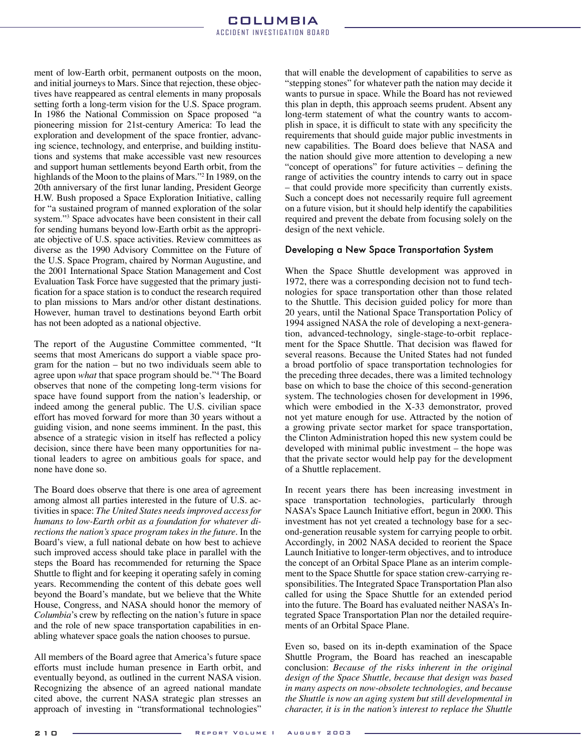ment of low-Earth orbit, permanent outposts on the moon, and initial journeys to Mars. Since that rejection, these objectives have reappeared as central elements in many proposals setting forth a long-term vision for the U.S. Space program. In 1986 the National Commission on Space proposed "a pioneering mission for 21st-century America: To lead the exploration and development of the space frontier, advancing science, technology, and enterprise, and building institutions and systems that make accessible vast new resources and support human settlements beyond Earth orbit, from the highlands of the Moon to the plains of Mars."2 In 1989, on the 20th anniversary of the first lunar landing, President George H.W. Bush proposed a Space Exploration Initiative, calling for "a sustained program of manned exploration of the solar system."3 Space advocates have been consistent in their call for sending humans beyond low-Earth orbit as the appropriate objective of U.S. space activities. Review committees as diverse as the 1990 Advisory Committee on the Future of the U.S. Space Program, chaired by Norman Augustine, and the 2001 International Space Station Management and Cost Evaluation Task Force have suggested that the primary justification for a space station is to conduct the research required to plan missions to Mars and/or other distant destinations. However, human travel to destinations beyond Earth orbit has not been adopted as a national objective.

The report of the Augustine Committee commented, "It seems that most Americans do support a viable space program for the nation – but no two individuals seem able to agree upon *what* that space program should be."4 The Board observes that none of the competing long-term visions for space have found support from the nation's leadership, or indeed among the general public. The U.S. civilian space effort has moved forward for more than 30 years without a guiding vision, and none seems imminent. In the past, this absence of a strategic vision in itself has reflected a policy decision, since there have been many opportunities for national leaders to agree on ambitious goals for space, and none have done so.

The Board does observe that there is one area of agreement among almost all parties interested in the future of U.S. activities in space: *The United States needs improved access for humans to low-Earth orbit as a foundation for whatever directions the nation's space program takes in the future.* In the Board's view, a full national debate on how best to achieve such improved access should take place in parallel with the steps the Board has recommended for returning the Space Shuttle to flight and for keeping it operating safely in coming years. Recommending the content of this debate goes well beyond the Board's mandate, but we believe that the White House, Congress, and NASA should honor the memory of *Columbia*'s crew by reflecting on the nation's future in space and the role of new space transportation capabilities in enabling whatever space goals the nation chooses to pursue.

All members of the Board agree that America's future space efforts must include human presence in Earth orbit, and eventually beyond, as outlined in the current NASA vision. Recognizing the absence of an agreed national mandate cited above, the current NASA strategic plan stresses an approach of investing in "transformational technologies"

that will enable the development of capabilities to serve as "stepping stones" for whatever path the nation may decide it wants to pursue in space. While the Board has not reviewed this plan in depth, this approach seems prudent. Absent any long-term statement of what the country wants to accomplish in space, it is difficult to state with any specificity the requirements that should guide major public investments in new capabilities. The Board does believe that NASA and the nation should give more attention to developing a new "concept of operations" for future activities – defining the range of activities the country intends to carry out in space – that could provide more specificity than currently exists. Such a concept does not necessarily require full agreement on a future vision, but it should help identify the capabilities required and prevent the debate from focusing solely on the design of the next vehicle.

## Developing a New Space Transportation System

When the Space Shuttle development was approved in 1972, there was a corresponding decision not to fund technologies for space transportation other than those related to the Shuttle. This decision guided policy for more than 20 years, until the National Space Transportation Policy of 1994 assigned NASA the role of developing a next-generation, advanced-technology, single-stage-to-orbit replacement for the Space Shuttle. That decision was flawed for several reasons. Because the United States had not funded a broad portfolio of space transportation technologies for the preceding three decades, there was a limited technology base on which to base the choice of this second-generation system. The technologies chosen for development in 1996, which were embodied in the X-33 demonstrator, proved not yet mature enough for use. Attracted by the notion of a growing private sector market for space transportation, the Clinton Administration hoped this new system could be developed with minimal public investment – the hope was that the private sector would help pay for the development of a Shuttle replacement.

In recent years there has been increasing investment in space transportation technologies, particularly through NASA's Space Launch Initiative effort, begun in 2000. This investment has not yet created a technology base for a second-generation reusable system for carrying people to orbit. Accordingly, in 2002 NASA decided to reorient the Space Launch Initiative to longer-term objectives, and to introduce the concept of an Orbital Space Plane as an interim complement to the Space Shuttle for space station crew-carrying responsibilities. The Integrated Space Transportation Plan also called for using the Space Shuttle for an extended period into the future. The Board has evaluated neither NASA's Integrated Space Transportation Plan nor the detailed requirements of an Orbital Space Plane.

Even so, based on its in-depth examination of the Space Shuttle Program, the Board has reached an inescapable conclusion: *Because of the risks inherent in the original design of the Space Shuttle, because that design was based in many aspects on now-obsolete technologies, and because the Shuttle is now an aging system but still developmental in character, it is in the nation's interest to replace the Shuttle*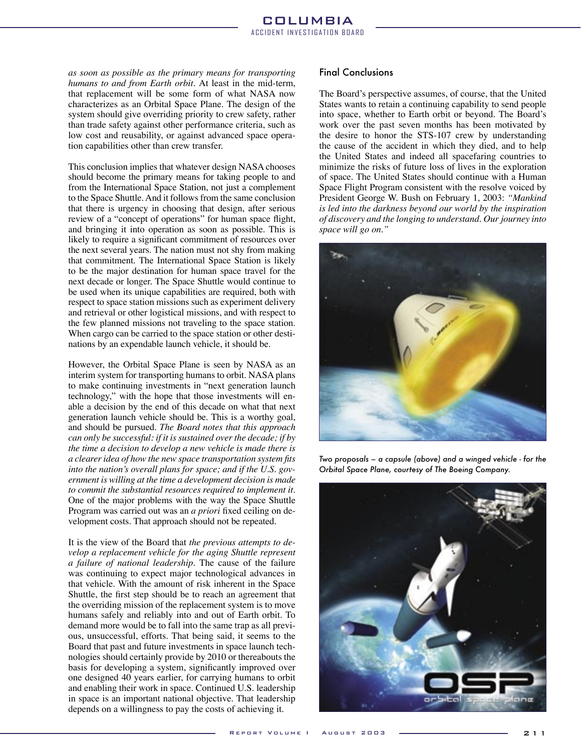*as soon as possible as the primary means for transporting humans to and from Earth orbit.* At least in the mid-term, that replacement will be some form of what NASA now characterizes as an Orbital Space Plane. The design of the system should give overriding priority to crew safety, rather than trade safety against other performance criteria, such as low cost and reusability, or against advanced space operation capabilities other than crew transfer.

This conclusion implies that whatever design NASA chooses should become the primary means for taking people to and from the International Space Station, not just a complement to the Space Shuttle. And it follows from the same conclusion that there is urgency in choosing that design, after serious review of a "concept of operations" for human space flight, and bringing it into operation as soon as possible. This is likely to require a significant commitment of resources over the next several years. The nation must not shy from making that commitment. The International Space Station is likely to be the major destination for human space travel for the next decade or longer. The Space Shuttle would continue to be used when its unique capabilities are required, both with respect to space station missions such as experiment delivery and retrieval or other logistical missions, and with respect to the few planned missions not traveling to the space station. When cargo can be carried to the space station or other destinations by an expendable launch vehicle, it should be.

However, the Orbital Space Plane is seen by NASA as an interim system for transporting humans to orbit. NASA plans to make continuing investments in "next generation launch technology," with the hope that those investments will enable a decision by the end of this decade on what that next generation launch vehicle should be. This is a worthy goal, and should be pursued. *The Board notes that this approach can only be successful: if it is sustained over the decade; if by the time a decision to develop a new vehicle is made there is a clearer idea of how the new space transportation system fits into the nation's overall plans for space; and if the U.S. government is willing at the time a development decision is made to commit the substantial resources required to implement it.* One of the major problems with the way the Space Shuttle Program was carried out was an *a priori* fixed ceiling on development costs. That approach should not be repeated.

It is the view of the Board that *the previous attempts to develop a replacement vehicle for the aging Shuttle represent a failure of national leadership.* The cause of the failure was continuing to expect major technological advances in that vehicle. With the amount of risk inherent in the Space Shuttle, the first step should be to reach an agreement that the overriding mission of the replacement system is to move humans safely and reliably into and out of Earth orbit. To demand more would be to fall into the same trap as all previous, unsuccessful, efforts. That being said, it seems to the Board that past and future investments in space launch technologies should certainly provide by 2010 or thereabouts the basis for developing a system, significantly improved over one designed 40 years earlier, for carrying humans to orbit and enabling their work in space. Continued U.S. leadership in space is an important national objective. That leadership depends on a willingness to pay the costs of achieving it.

#### Final Conclusions

The Board's perspective assumes, of course, that the United States wants to retain a continuing capability to send people into space, whether to Earth orbit or beyond. The Board's work over the past seven months has been motivated by the desire to honor the STS-107 crew by understanding the cause of the accident in which they died, and to help the United States and indeed all spacefaring countries to minimize the risks of future loss of lives in the exploration of space. The United States should continue with a Human Space Flight Program consistent with the resolve voiced by President George W. Bush on February 1, 2003: *"Mankind is led into the darkness beyond our world by the inspiration of discovery and the longing to understand. Our journey into space will go on."*



*Two proposals – a capsule (above) and a winged vehicle - for the Orbital Space Plane, courtesy of The Boeing Company.*